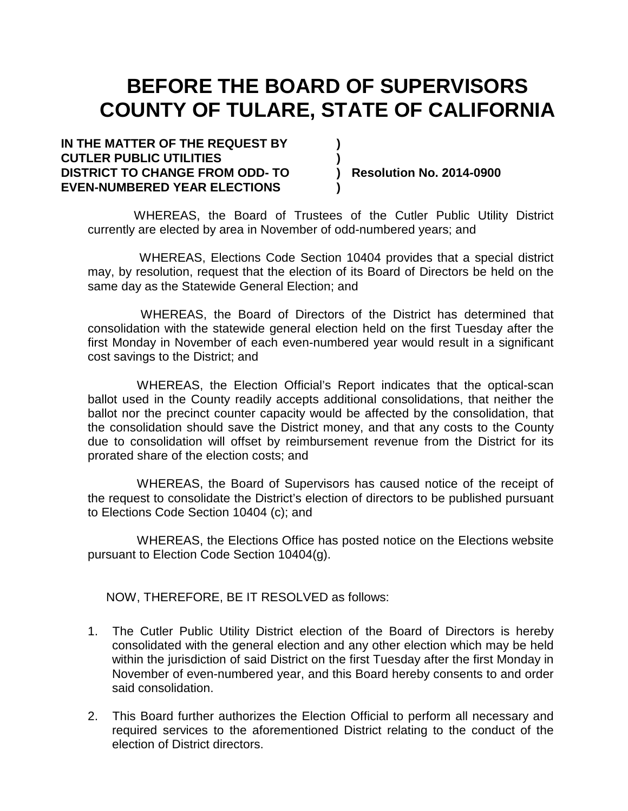# **BEFORE THE BOARD OF SUPERVISORS COUNTY OF TULARE, STATE OF CALIFORNIA**

**IN THE MATTER OF THE REQUEST BY ) CUTLER PUBLIC UTILITIES ) DISTRICT TO CHANGE FROM ODD- TO ) Resolution No. 2014-0900 EVEN-NUMBERED YEAR ELECTIONS )**

WHEREAS, the Board of Trustees of the Cutler Public Utility District currently are elected by area in November of odd-numbered years; and

 WHEREAS, Elections Code Section 10404 provides that a special district may, by resolution, request that the election of its Board of Directors be held on the same day as the Statewide General Election; and

 WHEREAS, the Board of Directors of the District has determined that consolidation with the statewide general election held on the first Tuesday after the first Monday in November of each even-numbered year would result in a significant cost savings to the District; and

WHEREAS, the Election Official's Report indicates that the optical-scan ballot used in the County readily accepts additional consolidations, that neither the ballot nor the precinct counter capacity would be affected by the consolidation, that the consolidation should save the District money, and that any costs to the County due to consolidation will offset by reimbursement revenue from the District for its prorated share of the election costs; and

WHEREAS, the Board of Supervisors has caused notice of the receipt of the request to consolidate the District's election of directors to be published pursuant to Elections Code Section 10404 (c); and

WHEREAS, the Elections Office has posted notice on the Elections website pursuant to Election Code Section 10404(g).

NOW, THEREFORE, BE IT RESOLVED as follows:

- 1. The Cutler Public Utility District election of the Board of Directors is hereby consolidated with the general election and any other election which may be held within the jurisdiction of said District on the first Tuesday after the first Monday in November of even-numbered year, and this Board hereby consents to and order said consolidation.
- 2. This Board further authorizes the Election Official to perform all necessary and required services to the aforementioned District relating to the conduct of the election of District directors.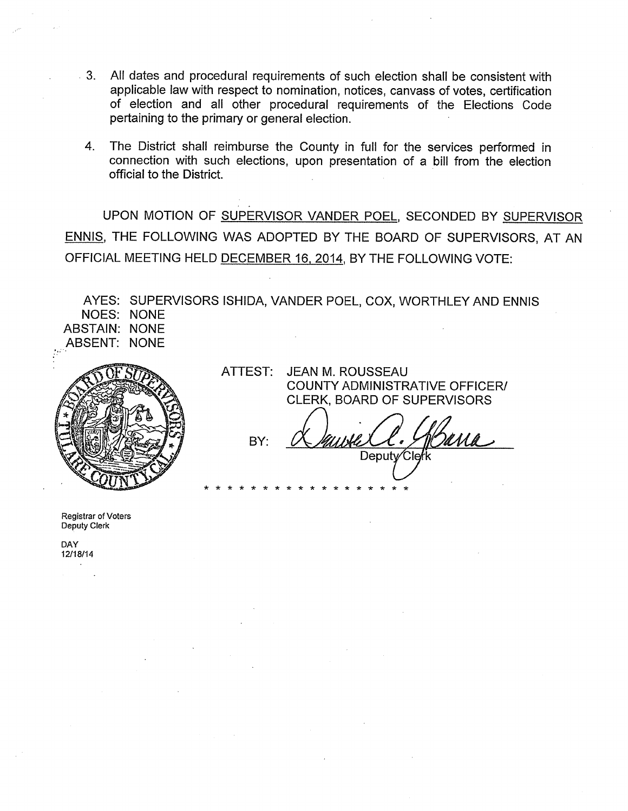- $\cdot$  3. All dates and procedural requirements of such election shall be consistent with applicable law with respect to nomination, notices, canvass of votes, certification of election and all other procedural requirements of the Elections Code pertaining to the primary or general election.
	- The District shall reimburse the County in full for the services performed in  $4.$ connection with such elections, upon presentation of a bill from the election official to the District.

UPON MOTION OF SUPERVISOR VANDER POEL, SECONDED BY SUPERVISOR ENNIS, THE FOLLOWING WAS ADOPTED BY THE BOARD OF SUPERVISORS, AT AN OFFICIAL MEETING HELD DECEMBER 16, 2014, BY THE FOLLOWING VOTE:

AYES: SUPERVISORS ISHIDA, VANDER POEL, COX, WORTHLEY AND ENNIS **NOES: NONE ABSTAIN: NONE ABSENT: NONE** 



ATTEST: **JEAN M. ROUSSEAU COUNTY ADMINISTRATIVE OFFICER/** CLERK, BOARD OF SUPERVISORS

BY: Deputy Clerk

Registrar of Voters Deputy Clerk

**DAY** 12/18/14  $\sim$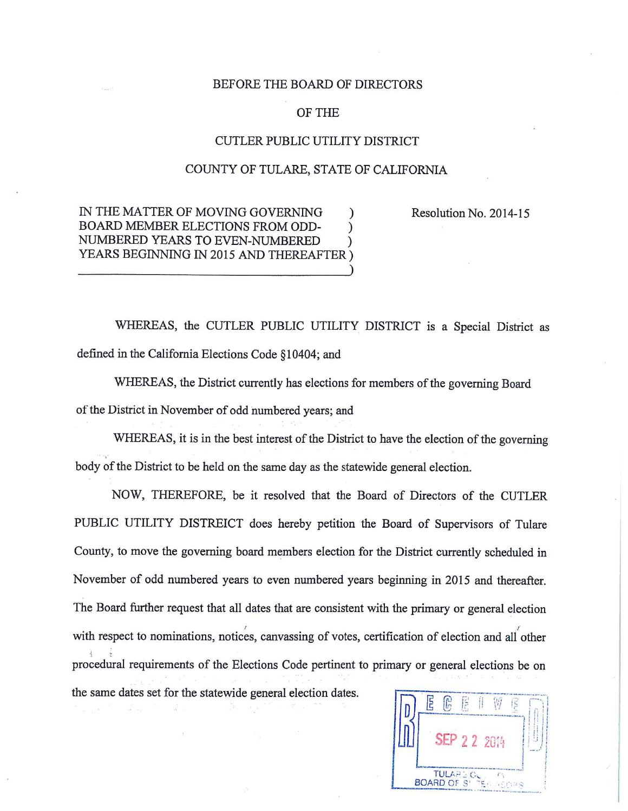## BEFORE THE BOARD OF DIRECTORS

# OF THE

## CUTLER PUBLIC UTILITY DISTRICT

## COUNTY OF TULARE, STATE OF CALIFORNIA

Resolution No. 2014-15

IN THE MATTER OF MOVING GOVERNING BOARD MEMBER ELECTIONS FROM ODD-NUMBERED YEARS TO EVEN-NUMBERED YEARS BEGINNING IN 2015 AND THEREAFTER)

WHEREAS, the CUTLER PUBLIC UTILITY DISTRICT is a Special District as defined in the California Elections Code §10404; and

WHEREAS, the District currently has elections for members of the governing Board of the District in November of odd numbered years; and

WHEREAS, it is in the best interest of the District to have the election of the governing body of the District to be held on the same day as the statewide general election.

NOW, THEREFORE, be it resolved that the Board of Directors of the CUTLER PUBLIC UTILITY DISTREICT does hereby petition the Board of Supervisors of Tulare County, to move the governing board members election for the District currently scheduled in November of odd numbered years to even numbered years beginning in 2015 and thereafter. The Board further request that all dates that are consistent with the primary or general election with respect to nominations, notices, canvassing of votes, certification of election and all other procedural requirements of the Elections Code pertinent to primary or general elections be on the same dates set for the statewide general election dates.

| E                      |                   |  |  |  |  |  |
|------------------------|-------------------|--|--|--|--|--|
| $1 - 2114$             |                   |  |  |  |  |  |
| <b>BOARD OF SILTER</b> | <b>TULARE CLE</b> |  |  |  |  |  |